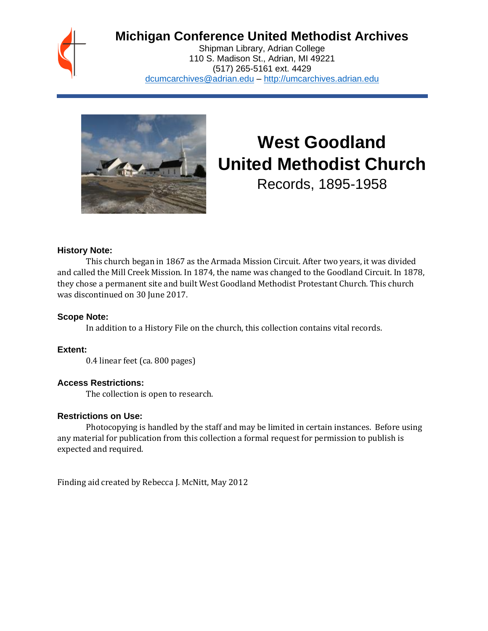## **Michigan Conference United Methodist Archives**

Shipman Library, Adrian College 110 S. Madison St., Adrian, MI 49221 (517) 265-5161 ext. 4429 [dcumcarchives@adrian.edu](mailto:dcumcarchives@adrian.edu) – [http://umcarchives.adrian.edu](http://umcarchives.adrian.edu/)



# **West Goodland United Methodist Church**

Records, 1895-1958

#### **History Note:**

This church began in 1867 as the Armada Mission Circuit. After two years, it was divided and called the Mill Creek Mission. In 1874, the name was changed to the Goodland Circuit. In 1878, they chose a permanent site and built West Goodland Methodist Protestant Church. This church was discontinued on 30 June 2017.

#### **Scope Note:**

In addition to a History File on the church, this collection contains vital records.

#### **Extent:**

0.4 linear feet (ca. 800 pages)

#### **Access Restrictions:**

The collection is open to research.

#### **Restrictions on Use:**

Photocopying is handled by the staff and may be limited in certain instances. Before using any material for publication from this collection a formal request for permission to publish is expected and required.

Finding aid created by Rebecca J. McNitt, May 2012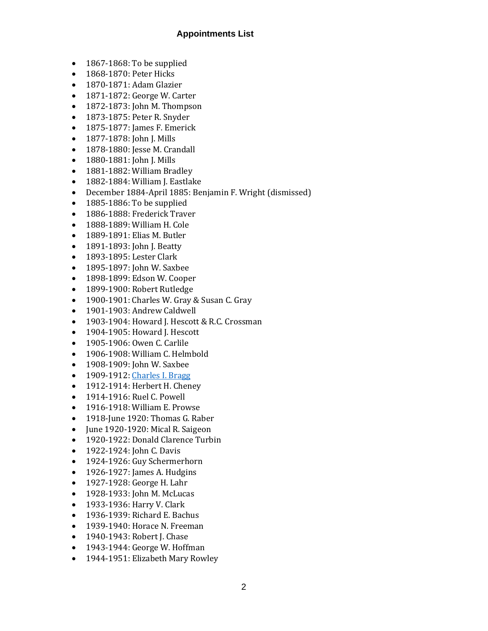#### **Appointments List**

- 1867-1868: To be supplied
- 1868-1870: Peter Hicks
- 1870-1871: Adam Glazier
- 1871-1872: George W. Carter
- 1872-1873: John M. Thompson
- 1873-1875: Peter R. Snyder
- 1875-1877: James F. Emerick
- 1877-1878: John J. Mills
- 1878-1880: Jesse M. Crandall
- 1880-1881: John J. Mills
- 1881-1882: William Bradley
- 1882-1884: William J. Eastlake
- December 1884-April 1885: Benjamin F. Wright (dismissed)
- 1885-1886: To be supplied
- 1886-1888: Frederick Traver
- 1888-1889: William H. Cole
- 1889-1891: Elias M. Butler
- 1891-1893: John J. Beatty
- 1893-1895: Lester Clark
- 1895-1897: John W. Saxbee
- 1898-1899: Edson W. Cooper
- 1899-1900: Robert Rutledge
- 1900-1901: Charles W. Gray & Susan C. Gray
- 1901-1903: Andrew Caldwell
- 1903-1904: Howard J. Hescott & R.C. Crossman
- 1904-1905: Howard J. Hescott
- 1905-1906: Owen C. Carlile
- 1906-1908: William C. Helmbold
- 1908-1909: John W. Saxbee
- 1909-1912[: Charles I. Bragg](http://umcarchives.adrian.edu/clergy/braggci.php)
- 1912-1914: Herbert H. Cheney
- 1914-1916: Ruel C. Powell
- 1916-1918: William E. Prowse
- 1918-June 1920: Thomas G. Raber
- June 1920-1920: Mical R. Saigeon
- 1920-1922: Donald Clarence Turbin
- 1922-1924: John C. Davis
- 1924-1926: Guy Schermerhorn
- 1926-1927: James A. Hudgins
- 1927-1928: George H. Lahr
- 1928-1933: John M. McLucas
- 1933-1936: Harry V. Clark
- 1936-1939: Richard E. Bachus
- 1939-1940: Horace N. Freeman
- 1940-1943: Robert J. Chase
- 1943-1944: George W. Hoffman
- 1944-1951: Elizabeth Mary Rowley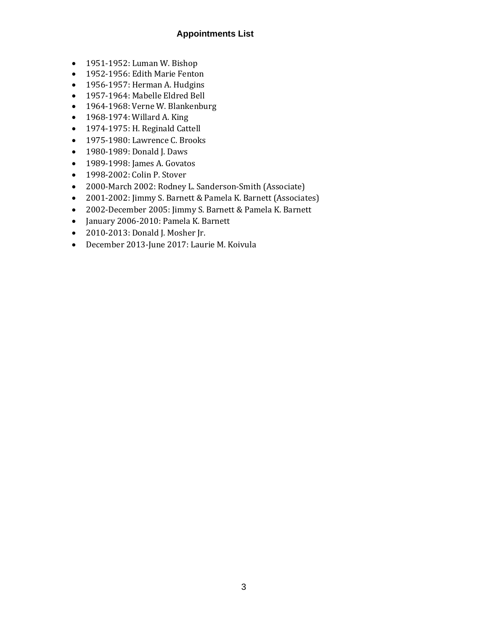#### **Appointments List**

- 1951-1952: Luman W. Bishop
- 1952-1956: Edith Marie Fenton
- 1956-1957: Herman A. Hudgins
- 1957-1964: Mabelle Eldred Bell
- 1964-1968: Verne W. Blankenburg
- 1968-1974: Willard A. King
- 1974-1975: H. Reginald Cattell
- 1975-1980: Lawrence C. Brooks
- 1980-1989: Donald J. Daws
- 1989-1998: James A. Govatos
- 1998-2002: Colin P. Stover
- 2000-March 2002: Rodney L. Sanderson-Smith (Associate)
- 2001-2002: Jimmy S. Barnett & Pamela K. Barnett (Associates)
- 2002-December 2005: Jimmy S. Barnett & Pamela K. Barnett
- January 2006-2010: Pamela K. Barnett
- 2010-2013: Donald J. Mosher Jr.
- December 2013-June 2017: Laurie M. Koivula